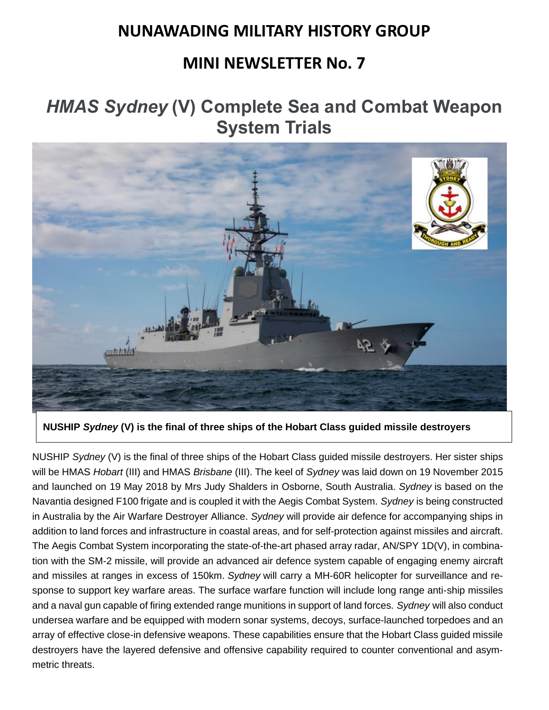### **NUNAWADING MILITARY HISTORY GROUP**

### **MINI NEWSLETTER No. 7**

## *HMAS Sydney* **(V) Complete Sea and Combat Weapon System Trials**



**NUSHIP** *Sydney* **(V) is the final of three ships of the Hobart Class guided missile destroyers**

NUSHIP *Sydney* (V) is the final of three ships of the Hobart Class guided missile destroyers. Her sister ships will be HMAS *Hobart* (III) and HMAS *Brisbane* (III). The keel of *Sydney* was laid down on 19 November 2015 and launched on 19 May 2018 by Mrs Judy Shalders in Osborne, South Australia. *Sydney* is based on the Navantia designed F100 frigate and is coupled it with the Aegis Combat System. *Sydney* is being constructed in Australia by the Air Warfare Destroyer Alliance. *Sydney* will provide air defence for accompanying ships in addition to land forces and infrastructure in coastal areas, and for self-protection against missiles and aircraft. The Aegis Combat System incorporating the state-of-the-art phased array radar, AN/SPY 1D(V), in combination with the SM-2 missile, will provide an advanced air defence system capable of engaging enemy aircraft and missiles at ranges in excess of 150km. *Sydney* will carry a MH-60R helicopter for surveillance and response to support key warfare areas. The surface warfare function will include long range anti-ship missiles and a naval gun capable of firing extended range munitions in support of land forces. *Sydney* will also conduct undersea warfare and be equipped with modern sonar systems, decoys, surface-launched torpedoes and an array of effective close-in defensive weapons. These capabilities ensure that the Hobart Class guided missile destroyers have the layered defensive and offensive capability required to counter conventional and asymmetric threats.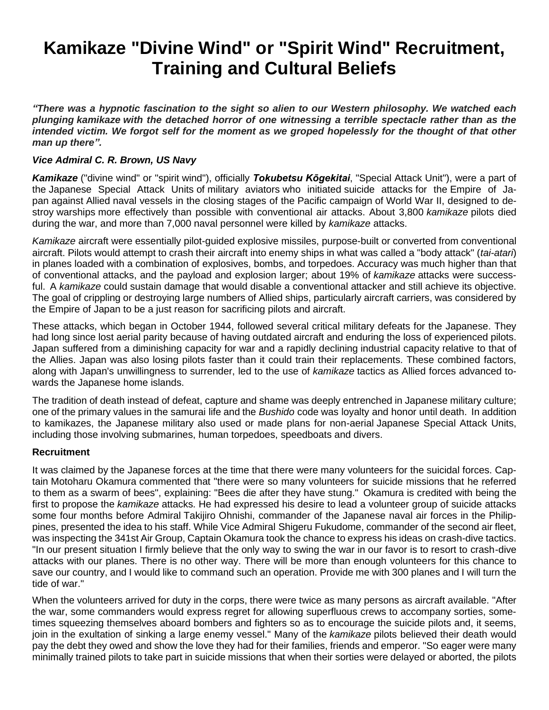# **Kamikaze "Divine Wind" or "Spirit Wind" Recruitment, Training and Cultural Beliefs**

*"There was a hypnotic fascination to the sight so alien to our Western philosophy. We watched each plunging kamikaze with the detached horror of one witnessing a terrible spectacle rather than as the intended victim. We forgot self for the moment as we groped hopelessly for the thought of that other man up there".*

#### *Vice Admiral [C. R. Brown,](https://en.wikipedia.org/wiki/Charles_R._Brown) US Navy*

*Kamikaze* ("divine wind" or "spirit wind"), officially *Tokubetsu Kōgekitai*, "Special Attack Unit"), were a part of the Japanese Special Attack Units of military aviators who initiated suicide attacks for the Empire of Japan against Allied naval vessels in the closing stages of the Pacific campaign of World War II, designed to destroy warships more effectively than possible with conventional air attacks. About 3,800 *kamikaze* pilots died during the war, and more than 7,000 naval personnel were killed by *kamikaze* attacks.

*Kamikaze* aircraft were essentially pilot-guided explosive missiles, purpose-built or converted from conventional aircraft. Pilots would attempt to crash their aircraft into enemy ships in what was called a "body attack" (*tai-atari*) in planes loaded with a combination of explosives, bombs, and torpedoes. Accuracy was much higher than that of conventional attacks, and the payload and explosion larger; about 19% of *kamikaze* attacks were successful. A *kamikaze* could sustain damage that would disable a conventional attacker and still achieve its objective. The goal of crippling or destroying large numbers of Allied ships, particularly aircraft carriers, was considered by the Empire of Japan to be a just reason for sacrificing pilots and aircraft.

These attacks, which began in October 1944, followed several critical military defeats for the Japanese. They had long since lost aerial parity because of having outdated aircraft and enduring the loss of experienced pilots. Japan suffered from a diminishing capacity for war and a rapidly declining industrial capacity relative to that of the Allies. Japan was also losing pilots faster than it could train their replacements. These combined factors, along with Japan's unwillingness to surrender, led to the use of *kamikaze* tactics as Allied forces advanced towards the Japanese home islands.

The tradition of death instead of defeat, capture and shame was deeply entrenched in Japanese military culture; one of the primary values in the samurai life and the *Bushido* code was loyalty and honor until death. In addition to kamikazes, the Japanese military also used or made plans for non-aerial Japanese Special Attack Units, including those involving submarines, human torpedoes, speedboats and divers.

#### **Recruitment**

It was claimed by the Japanese forces at the time that there were many volunteers for the suicidal forces. Captain Motoharu Okamura commented that "there were so many volunteers for suicide missions that he referred to them as a swarm of bees", explaining: "Bees die after they have stung." Okamura is credited with being the first to propose the *kamikaze* attacks. He had expressed his desire to lead a volunteer group of suicide attacks some four months before Admiral Takijiro Ohnishi, commander of the Japanese naval air forces in the Philippines, presented the idea to his staff. While Vice Admiral Shigeru Fukudome, commander of the second air fleet, was inspecting the 341st Air Group, Captain Okamura took the chance to express his ideas on crash-dive tactics. "In our present situation I firmly believe that the only way to swing the war in our favor is to resort to crash-dive attacks with our planes. There is no other way. There will be more than enough volunteers for this chance to save our country, and I would like to command such an operation. Provide me with 300 planes and I will turn the tide of war."

When the volunteers arrived for duty in the corps, there were twice as many persons as aircraft available. "After the war, some commanders would express regret for allowing superfluous crews to accompany sorties, sometimes squeezing themselves aboard bombers and fighters so as to encourage the suicide pilots and, it seems, join in the exultation of sinking a large enemy vessel." Many of the *kamikaze* pilots believed their death would pay the debt they owed and show the love they had for their families, friends and emperor. "So eager were many minimally trained pilots to take part in suicide missions that when their sorties were delayed or aborted, the pilots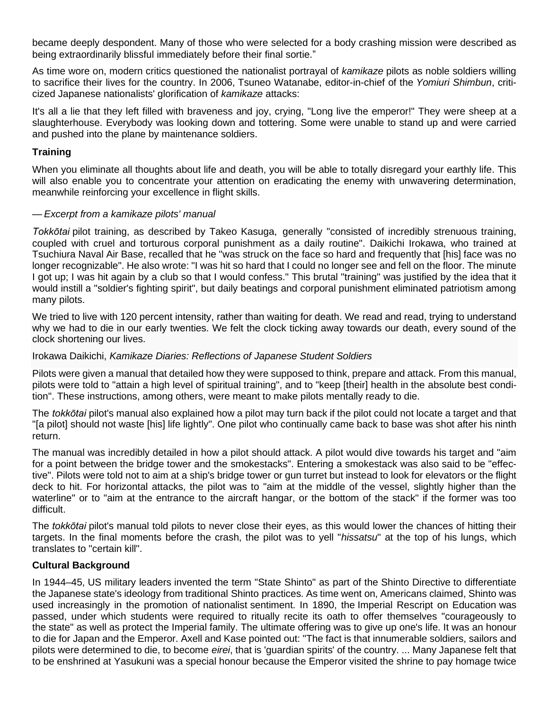became deeply despondent. Many of those who were selected for a body crashing mission were described as being extraordinarily blissful immediately before their final sortie."

As time wore on, modern critics questioned the nationalist portrayal of *kamikaze* pilots as noble soldiers willing to sacrifice their lives for the country. In 2006, [Tsuneo Watanabe,](https://en.wikipedia.org/wiki/Tsuneo_Watanabe) editor-in-chief of the *Yomiuri Shimbun*, criticized Japanese nationalists' glorification of *kamikaze* attacks:

It's all a lie that they left filled with braveness and joy, crying, "Long live the emperor!" They were sheep at a slaughterhouse. Everybody was looking down and tottering. Some were unable to stand up and were carried and pushed into the plane by maintenance soldiers.

#### **Training**

When you eliminate all thoughts about life and death, you will be able to totally disregard your earthly life. This will also enable you to concentrate your attention on eradicating the enemy with unwavering determination, meanwhile reinforcing your excellence in flight skills.

#### — *Excerpt from a kamikaze pilots' manual*

*Tokkōtai* pilot training, as described by Takeo Kasuga, generally "consisted of incredibly strenuous training, coupled with cruel and torturous corporal punishment as a daily routine". Daikichi Irokawa, who trained at Tsuchiura Naval Air Base, recalled that he "was struck on the face so hard and frequently that [his] face was no longer recognizable". He also wrote: "I was hit so hard that I could no longer see and fell on the floor. The minute I got up; I was hit again by a club so that I would confess." This brutal "training" was justified by the idea that it would instill a "soldier's fighting spirit", but daily beatings and corporal punishment eliminated patriotism among many pilots.

We tried to live with 120 percent intensity, rather than waiting for death. We read and read, trying to understand why we had to die in our early twenties. We felt the clock ticking away towards our death, every sound of the clock shortening our lives.

#### Irokawa Daikichi, *Kamikaze Diaries: Reflections of Japanese Student Soldiers*

Pilots were given a manual that detailed how they were supposed to think, prepare and attack. From this manual, pilots were told to "attain a high level of spiritual training", and to "keep [their] health in the absolute best condition". These instructions, among others, were meant to make pilots mentally ready to die.

The *tokkōtai* pilot's manual also explained how a pilot may turn back if the pilot could not locate a target and that "[a pilot] should not waste [his] life lightly". One pilot who continually came back to base was shot after his ninth return.

The manual was incredibly detailed in how a pilot should attack. A pilot would dive towards his target and "aim for a point between the bridge tower and the smokestacks". Entering a smokestack was also said to be "effective". Pilots were told not to aim at a ship's bridge tower or gun turret but instead to look for elevators or the flight deck to hit. For horizontal attacks, the pilot was to "aim at the middle of the vessel, slightly higher than the waterline" or to "aim at the entrance to the aircraft hangar, or the bottom of the stack" if the former was too difficult.

The *tokkōtai* pilot's manual told pilots to never close their eyes, as this would lower the chances of hitting their targets. In the final moments before the crash, the pilot was to yell "*hissatsu*" at the top of his lungs, which translates to "certain kill".

#### **Cultural Background**

In 1944–45, US military leaders invented the term "State Shinto" as part of the Shinto Directive to differentiate the Japanese state's ideology from traditional [Shinto](https://en.wikipedia.org/wiki/Shinto) practices. As time went on, Americans claimed, Shinto was used increasingly in the promotion of nationalist sentiment. In 1890, the Imperial Rescript on Education was passed, under which students were required to ritually recite its oath to offer themselves "courageously to the state" as well as protect the Imperial family. The ultimate offering was to give up one's life. It was an honour to die for Japan and the Emperor. Axell and Kase pointed out: "The fact is that innumerable soldiers, sailors and pilots were determined to die, to become *eirei*, that is 'guardian spirits' of the country. ... Many Japanese felt that to be enshrined at Yasukuni was a special honour because the Emperor visited the shrine to pay homage twice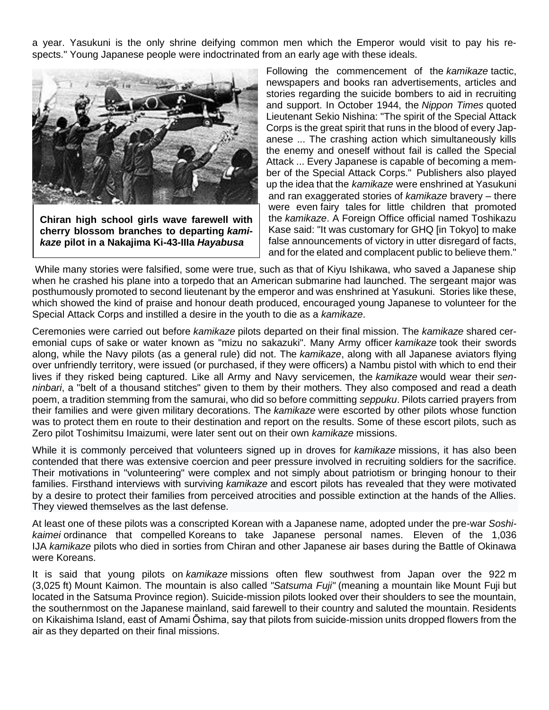a year. Yasukuni is the only shrine deifying common men which the Emperor would visit to pay his respects." Young Japanese people were indoctrinated from an early age with these ideals.



**Chiran high school girls wave farewell with cherry blossom branches to departing** *kamikaze* **pilot in a Nakajima Ki-43-IIIa** *Hayabusa*

Following the commencement of the *kamikaze* tactic, newspapers and books ran advertisements, articles and stories regarding the suicide bombers to aid in recruiting and support. In October 1944, the *Nippon Times* quoted Lieutenant Sekio Nishina: "The spirit of the Special Attack Corps is the great spirit that runs in the blood of every Japanese ... The crashing action which simultaneously kills the enemy and oneself without fail is called the Special Attack ... Every Japanese is capable of becoming a member of the Special Attack Corps." Publishers also played up the idea that the *kamikaze* were enshrined at Yasukuni and ran exaggerated stories of *kamikaze* bravery – there were even fairy tales for little children that promoted the *kamikaze*. A Foreign Office official named Toshikazu Kase said: "It was customary for GHQ [in Tokyo] to make false announcements of victory in utter disregard of facts, and for the elated and complacent public to believe them."

While many stories were falsified, some were true, such as that of Kiyu Ishikawa, who saved a Japanese ship when he crashed his plane into a torpedo that an American submarine had launched. The sergeant major was posthumously promoted to second lieutenant by the emperor and was enshrined at Yasukuni. Stories like these, which showed the kind of praise and honour death produced, encouraged young Japanese to volunteer for the Special Attack Corps and instilled a desire in the youth to die as a *kamikaze*.

Ceremonies were carried out before *kamikaze* pilots departed on their final mission. The *kamikaze* shared ceremonial cups of sake or water known as "mizu no sakazuki". Many Army officer *kamikaze* took their swords along, while the Navy pilots (as a general rule) did not. The *kamikaze*, along with all Japanese aviators flying over unfriendly territory, were issued (or purchased, if they were officers) a Nambu pistol with which to end their lives if they risked being captured. Like all Army and Navy servicemen, the *kamikaze* would wear their *senninbari*, a "belt of a thousand stitches" given to them by their mothers. They also composed and read a death poem, a tradition stemming from the samurai, who did so before committing *seppuku*. Pilots carried prayers from their families and were given military decorations. The *kamikaze* were escorted by other pilots whose function was to protect them en route to their destination and report on the results. Some of these escort pilots, such as Zero pilot Toshimitsu Imaizumi, were later sent out on their own *kamikaze* missions.

While it is commonly perceived that volunteers signed up in droves for *kamikaze* missions, it has also been contended that there was extensive coercion and peer pressure involved in recruiting soldiers for the sacrifice. Their motivations in "volunteering" were complex and not simply about patriotism or bringing honour to their families. Firsthand interviews with surviving *kamikaze* and escort pilots has revealed that they were motivated by a desire to protect their families from perceived atrocities and possible extinction at the hands of the Allies. They viewed themselves as the last defense.

At least one of these pilots was a conscripted Korean with a Japanese name, adopted under the pre-war *Soshikaimei* ordinance that compelled Koreans to take Japanese personal names. Eleven of the 1,036 IJA *kamikaze* pilots who died in sorties from Chiran and other Japanese air bases during the Battle of Okinawa were Koreans.

It is said that young pilots on *kamikaze* missions often flew southwest from Japan over the 922 m (3,025 ft) Mount Kaimon. The mountain is also called *"Satsuma Fuji"* (meaning a mountain like Mount Fuji but located in the Satsuma Province region). Suicide-mission pilots looked over their shoulders to see the mountain, the southernmost on the Japanese mainland, said farewell to their country and saluted the mountain. Residents on Kikaishima Island, east of Amami Ōshima, say that pilots from suicide-mission units dropped flowers from the air as they departed on their final missions.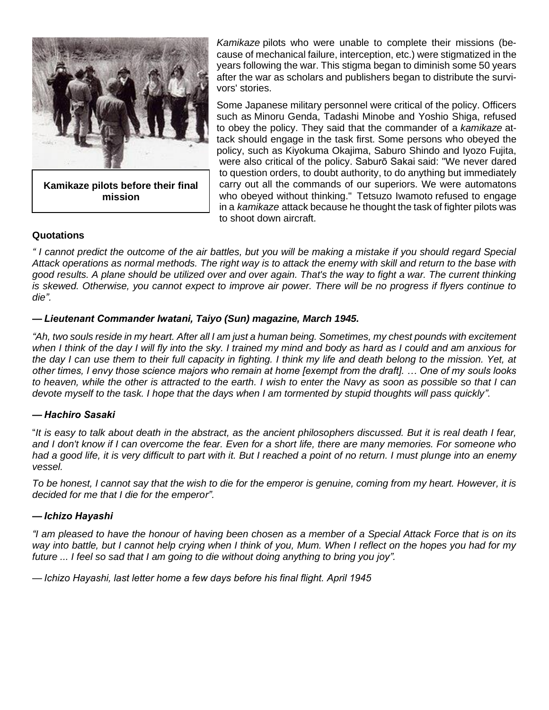

**Kamikaze pilots before their final mission**

*Kamikaze* pilots who were unable to complete their missions (because of mechanical failure, interception, etc.) were stigmatized in the years following the war. This stigma began to diminish some 50 years after the war as scholars and publishers began to distribute the survivors' stories.

Some Japanese military personnel were critical of the policy. Officers such as Minoru Genda, Tadashi Minobe and Yoshio Shiga, refused to obey the policy. They said that the commander of a *kamikaze* attack should engage in the task first. Some persons who obeyed the policy, such as Kiyokuma Okajima, Saburo Shindo and Iyozo Fujita, were also critical of the policy. Saburō Sakai said: "We never dared to question orders, to doubt authority, to do anything but immediately carry out all the commands of our superiors. We were automatons who obeyed without thinking." Tetsuzo Iwamoto refused to engage in a *kamikaze* attack because he thought the task of fighter pilots was to shoot down aircraft.

#### **Quotations**

*" I cannot predict the outcome of the air battles, but you will be making a mistake if you should regard Special Attack operations as normal methods. The right way is to attack the enemy with skill and return to the base with good results. A plane should be utilized over and over again. That's the way to fight a war. The current thinking is skewed. Otherwise, you cannot expect to improve air power. There will be no progress if flyers continue to die".*

#### *— Lieutenant Commander Iwatani, Taiyo (Sun) magazine, March 1945.*

*"Ah, two souls reside in my heart. After all I am just a human being. Sometimes, my chest pounds with excitement when I think of the day I will fly into the sky. I trained my mind and body as hard as I could and am anxious for the day I can use them to their full capacity in fighting. I think my life and death belong to the mission. Yet, at other times, I envy those science majors who remain at home [exempt from the draft]. … One of my souls looks to heaven, while the other is attracted to the earth. I wish to enter the Navy as soon as possible so that I can devote myself to the task. I hope that the days when I am tormented by stupid thoughts will pass quickly".*

#### *— Hachiro Sasaki*

"*It is easy to talk about death in the abstract, as the ancient philosophers discussed. But it is real death I fear, and I don't know if I can overcome the fear. Even for a short life, there are many memories. For someone who had a good life, it is very difficult to part with it. But I reached a point of no return. I must plunge into an enemy vessel.*

*To be honest, I cannot say that the wish to die for the emperor is genuine, coming from my heart. However, it is decided for me that I die for the emperor".*

#### *— Ichizo Hayashi*

*"I am pleased to have the honour of having been chosen as a member of a Special Attack Force that is on its way into battle, but I cannot help crying when I think of you, Mum. When I reflect on the hopes you had for my future ... I feel so sad that I am going to die without doing anything to bring you joy".*

*— Ichizo Hayashi, last letter home a few days before his final flight. April 1945*